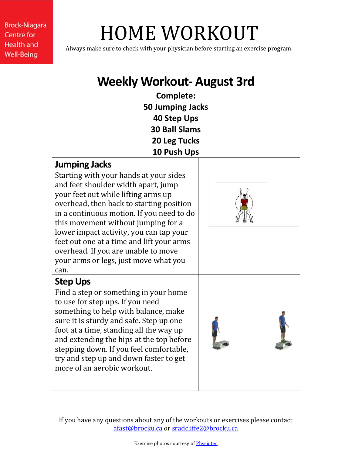# HOME WORKOUT

Always make sure to check with your physician before starting an exercise program.

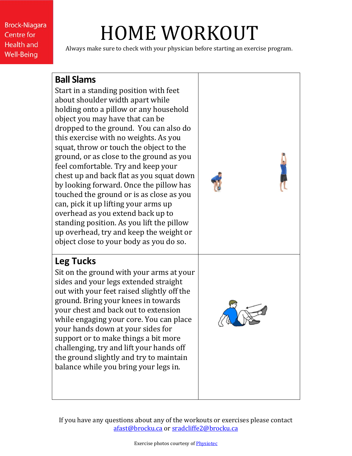## HOME WORKOUT

Always make sure to check with your physician before starting an exercise program.

#### **Ball Slams**

Start in a standing position with feet about shoulder width apart while holding onto a pillow or any household object you may have that can be dropped to the ground. You can also do this exercise with no weights. As you squat, throw or touch the object to the ground, or as close to the ground as you feel comfortable. Try and keep your chest up and back flat as you squat down by looking forward. Once the pillow has touched the ground or is as close as you can, pick it up lifting your arms up overhead as you extend back up to standing position. As you lift the pillow up overhead, try and keep the weight or object close to your body as you do so.

### **Leg Tucks**

Sit on the ground with your arms at your sides and your legs extended straight out with your feet raised slightly off the ground. Bring your knees in towards your chest and back out to extension while engaging your core. You can place your hands down at your sides for support or to make things a bit more challenging, try and lift your hands off the ground slightly and try to maintain balance while you bring your legs in.

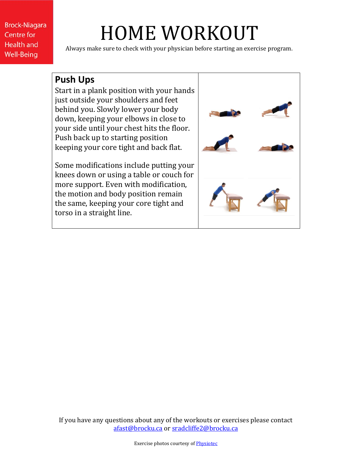## HOME WORKOUT

Always make sure to check with your physician before starting an exercise program.

#### **Push Ups**

Start in a plank position with your hands just outside your shoulders and feet behind you. Slowly lower your body down, keeping your elbows in close to your side until your chest hits the floor. Push back up to starting position keeping your core tight and back flat.

Some modifications include putting your knees down or using a table or couch for more support. Even with modification, the motion and body position remain the same, keeping your core tight and torso in a straight line.

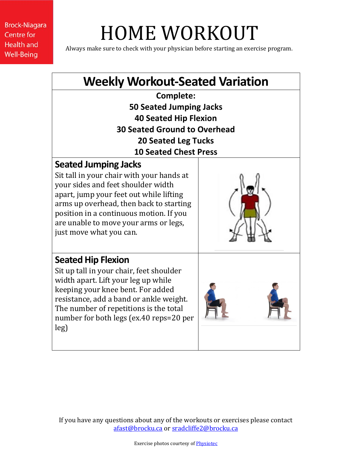## HOME WORKOUT

Always make sure to check with your physician before starting an exercise program.

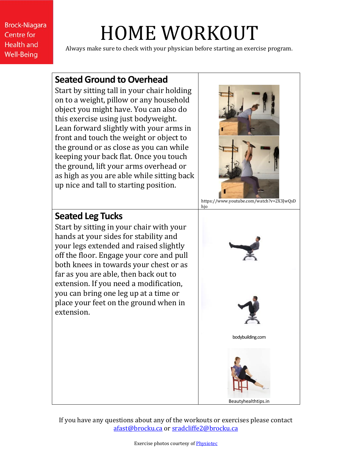# HOME WORKOUT

Always make sure to check with your physician before starting an exercise program.

### **Seated Ground to Overhead**

Start by sitting tall in your chair holding on to a weight, pillow or any household object you might have. You can also do this exercise using just bodyweight. Lean forward slightly with your arms in front and touch the weight or object to the ground or as close as you can while keeping your back flat. Once you touch the ground, lift your arms overhead or as high as you are able while sitting back up nice and tall to starting position.



https://www.youtube.com/watch?v=2X3JwQsD hjo

#### **Seated Leg Tucks**

Start by sitting in your chair with your hands at your sides for stability and your legs extended and raised slightly off the floor. Engage your core and pull both knees in towards your chest or as far as you are able, then back out to extension. If you need a modification, you can bring one leg up at a time or place your feet on the ground when in extension.